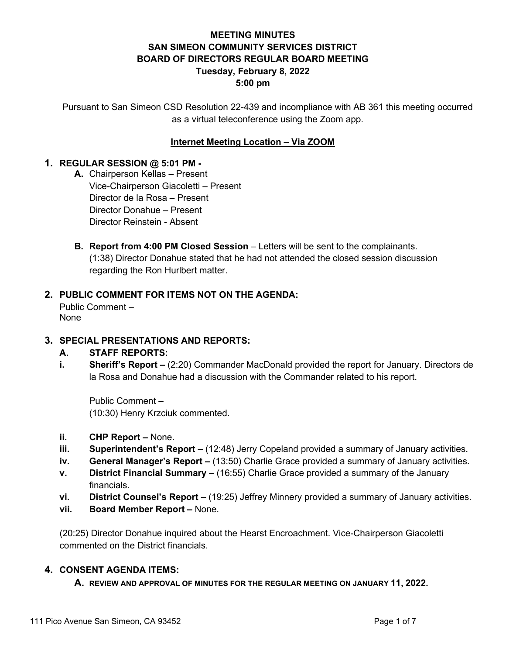# **MEETING MINUTES SAN SIMEON COMMUNITY SERVICES DISTRICT BOARD OF DIRECTORS REGULAR BOARD MEETING Tuesday, February 8, 2022 5:00 pm**

Pursuant to San Simeon CSD Resolution 22-439 and incompliance with AB 361 this meeting occurred as a virtual teleconference using the Zoom app.

## **Internet Meeting Location – Via ZOOM**

### **1. REGULAR SESSION @ 5:01 PM -**

- **A.** Chairperson Kellas Present Vice-Chairperson Giacoletti – Present Director de la Rosa – Present Director Donahue – Present Director Reinstein - Absent
- **B. Report from 4:00 PM Closed Session** Letters will be sent to the complainants. (1:38) Director Donahue stated that he had not attended the closed session discussion regarding the Ron Hurlbert matter.

## **2. PUBLIC COMMENT FOR ITEMS NOT ON THE AGENDA:**

Public Comment – None

### **3. SPECIAL PRESENTATIONS AND REPORTS:**

### **A. STAFF REPORTS:**

**i. Sheriff's Report –** (2:20) Commander MacDonald provided the report for January. Directors de la Rosa and Donahue had a discussion with the Commander related to his report.

Public Comment – (10:30) Henry Krzciuk commented.

- **ii. CHP Report –** None.
- **iii. Superintendent's Report –** (12:48) Jerry Copeland provided a summary of January activities.
- **iv. General Manager's Report –** (13:50) Charlie Grace provided a summary of January activities.
- **v. District Financial Summary –** (16:55) Charlie Grace provided a summary of the January financials.
- **vi. District Counsel's Report –** (19:25) Jeffrey Minnery provided a summary of January activities.
- **vii. Board Member Report –** None.

(20:25) Director Donahue inquired about the Hearst Encroachment. Vice-Chairperson Giacoletti commented on the District financials.

### **4. CONSENT AGENDA ITEMS:**

**A. REVIEW AND APPROVAL OF MINUTES FOR THE REGULAR MEETING ON JANUARY 11, 2022.**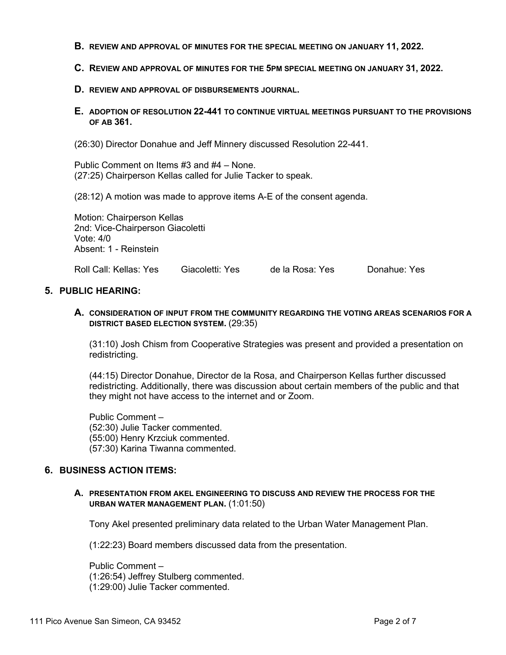- **B. REVIEW AND APPROVAL OF MINUTES FOR THE SPECIAL MEETING ON JANUARY 11, 2022.**
- **C. REVIEW AND APPROVAL OF MINUTES FOR THE 5PM SPECIAL MEETING ON JANUARY 31, 2022.**
- **D. REVIEW AND APPROVAL OF DISBURSEMENTS JOURNAL.**
- **E. ADOPTION OF RESOLUTION 22-441 TO CONTINUE VIRTUAL MEETINGS PURSUANT TO THE PROVISIONS OF AB 361.**

(26:30) Director Donahue and Jeff Minnery discussed Resolution 22-441.

Public Comment on Items #3 and #4 – None. (27:25) Chairperson Kellas called for Julie Tacker to speak.

(28:12) A motion was made to approve items A-E of the consent agenda.

Motion: Chairperson Kellas 2nd: Vice-Chairperson Giacoletti Vote: 4/0 Absent: 1 - Reinstein

Roll Call: Kellas: Yes Giacoletti: Yes de la Rosa: Yes Donahue: Yes

#### **5. PUBLIC HEARING:**

**A. CONSIDERATION OF INPUT FROM THE COMMUNITY REGARDING THE VOTING AREAS SCENARIOS FOR A DISTRICT BASED ELECTION SYSTEM.** (29:35)

(31:10) Josh Chism from Cooperative Strategies was present and provided a presentation on redistricting.

(44:15) Director Donahue, Director de la Rosa, and Chairperson Kellas further discussed redistricting. Additionally, there was discussion about certain members of the public and that they might not have access to the internet and or Zoom.

Public Comment – (52:30) Julie Tacker commented. (55:00) Henry Krzciuk commented. (57:30) Karina Tiwanna commented.

#### **6. BUSINESS ACTION ITEMS:**

#### **A. PRESENTATION FROM AKEL ENGINEERING TO DISCUSS AND REVIEW THE PROCESS FOR THE URBAN WATER MANAGEMENT PLAN.** (1:01:50)

Tony Akel presented preliminary data related to the Urban Water Management Plan.

(1:22:23) Board members discussed data from the presentation.

Public Comment – (1:26:54) Jeffrey Stulberg commented. (1:29:00) Julie Tacker commented.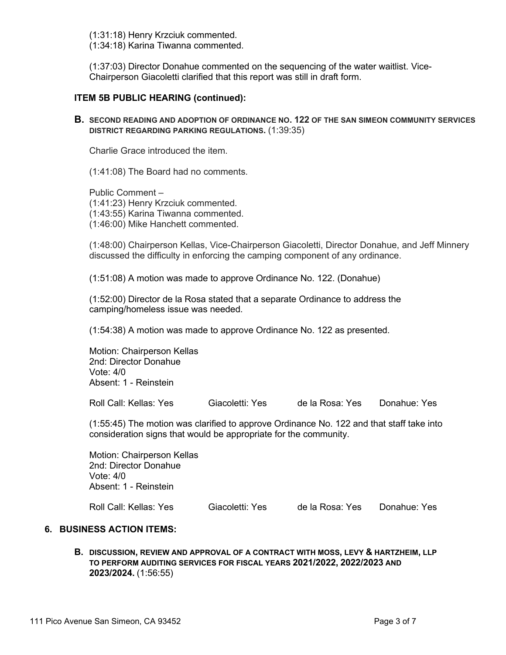(1:31:18) Henry Krzciuk commented.

(1:34:18) Karina Tiwanna commented.

(1:37:03) Director Donahue commented on the sequencing of the water waitlist. Vice-Chairperson Giacoletti clarified that this report was still in draft form.

#### **ITEM 5B PUBLIC HEARING (continued):**

**B. SECOND READING AND ADOPTION OF ORDINANCE NO. 122 OF THE SAN SIMEON COMMUNITY SERVICES DISTRICT REGARDING PARKING REGULATIONS.** (1:39:35)

Charlie Grace introduced the item.

(1:41:08) The Board had no comments.

Public Comment – (1:41:23) Henry Krzciuk commented. (1:43:55) Karina Tiwanna commented. (1:46:00) Mike Hanchett commented.

(1:48:00) Chairperson Kellas, Vice-Chairperson Giacoletti, Director Donahue, and Jeff Minnery discussed the difficulty in enforcing the camping component of any ordinance.

(1:51:08) A motion was made to approve Ordinance No. 122. (Donahue)

(1:52:00) Director de la Rosa stated that a separate Ordinance to address the camping/homeless issue was needed.

(1:54:38) A motion was made to approve Ordinance No. 122 as presented.

Motion: Chairperson Kellas 2nd: Director Donahue Vote: 4/0 Absent: 1 - Reinstein

Roll Call: Kellas: Yes Giacoletti: Yes de la Rosa: Yes Donahue: Yes

(1:55:45) The motion was clarified to approve Ordinance No. 122 and that staff take into consideration signs that would be appropriate for the community.

Motion: Chairperson Kellas 2nd: Director Donahue Vote: 4/0 Absent: 1 - Reinstein

Roll Call: Kellas: Yes Giacoletti: Yes de la Rosa: Yes Donahue: Yes

### **6. BUSINESS ACTION ITEMS:**

**B. DISCUSSION, REVIEW AND APPROVAL OF A CONTRACT WITH MOSS, LEVY & HARTZHEIM, LLP TO PERFORM AUDITING SERVICES FOR FISCAL YEARS 2021/2022, 2022/2023 AND 2023/2024.** (1:56:55)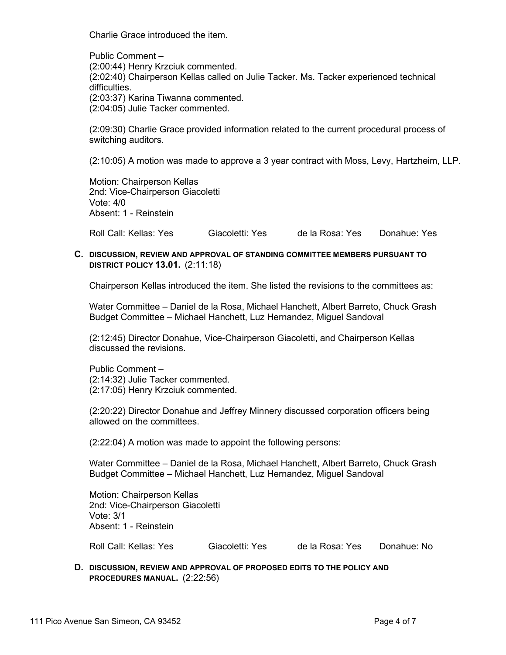Charlie Grace introduced the item.

Public Comment – (2:00:44) Henry Krzciuk commented. (2:02:40) Chairperson Kellas called on Julie Tacker. Ms. Tacker experienced technical difficulties. (2:03:37) Karina Tiwanna commented. (2:04:05) Julie Tacker commented.

(2:09:30) Charlie Grace provided information related to the current procedural process of switching auditors.

(2:10:05) A motion was made to approve a 3 year contract with Moss, Levy, Hartzheim, LLP.

Motion: Chairperson Kellas 2nd: Vice-Chairperson Giacoletti Vote: 4/0 Absent: 1 - Reinstein

Roll Call: Kellas: Yes Giacoletti: Yes de la Rosa: Yes Donahue: Yes

#### **C. DISCUSSION, REVIEW AND APPROVAL OF STANDING COMMITTEE MEMBERS PURSUANT TO DISTRICT POLICY 13.01.** (2:11:18)

Chairperson Kellas introduced the item. She listed the revisions to the committees as:

Water Committee – Daniel de la Rosa, Michael Hanchett, Albert Barreto, Chuck Grash Budget Committee – Michael Hanchett, Luz Hernandez, Miguel Sandoval

(2:12:45) Director Donahue, Vice-Chairperson Giacoletti, and Chairperson Kellas discussed the revisions.

Public Comment – (2:14:32) Julie Tacker commented. (2:17:05) Henry Krzciuk commented.

(2:20:22) Director Donahue and Jeffrey Minnery discussed corporation officers being allowed on the committees.

(2:22:04) A motion was made to appoint the following persons:

Water Committee – Daniel de la Rosa, Michael Hanchett, Albert Barreto, Chuck Grash Budget Committee – Michael Hanchett, Luz Hernandez, Miguel Sandoval

Motion: Chairperson Kellas 2nd: Vice-Chairperson Giacoletti Vote: 3/1 Absent: 1 - Reinstein

Roll Call: Kellas: Yes Giacoletti: Yes de la Rosa: Yes Donahue: No

**D. DISCUSSION, REVIEW AND APPROVAL OF PROPOSED EDITS TO THE POLICY AND PROCEDURES MANUAL.** (2:22:56)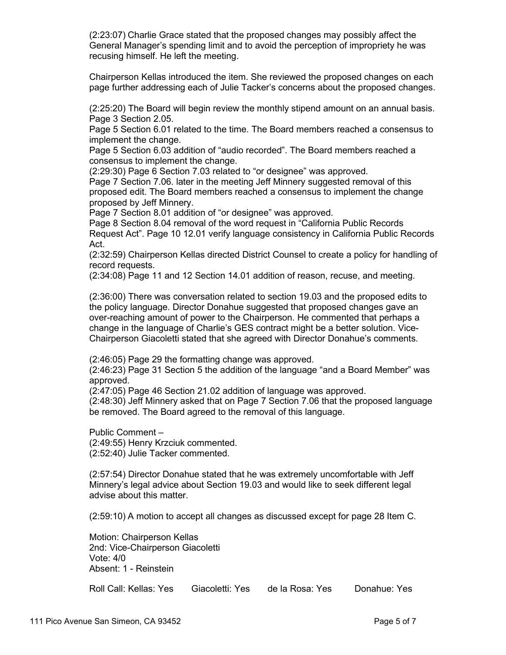(2:23:07) Charlie Grace stated that the proposed changes may possibly affect the General Manager's spending limit and to avoid the perception of impropriety he was recusing himself. He left the meeting.

Chairperson Kellas introduced the item. She reviewed the proposed changes on each page further addressing each of Julie Tacker's concerns about the proposed changes.

(2:25:20) The Board will begin review the monthly stipend amount on an annual basis. Page 3 Section 2.05.

Page 5 Section 6.01 related to the time. The Board members reached a consensus to implement the change.

Page 5 Section 6.03 addition of "audio recorded". The Board members reached a consensus to implement the change.

(2:29:30) Page 6 Section 7.03 related to "or designee" was approved.

Page 7 Section 7.06. later in the meeting Jeff Minnery suggested removal of this proposed edit. The Board members reached a consensus to implement the change proposed by Jeff Minnery.

Page 7 Section 8.01 addition of "or designee" was approved.

Page 8 Section 8.04 removal of the word request in "California Public Records Request Act". Page 10 12.01 verify language consistency in California Public Records Act.

(2:32:59) Chairperson Kellas directed District Counsel to create a policy for handling of record requests.

(2:34:08) Page 11 and 12 Section 14.01 addition of reason, recuse, and meeting.

(2:36:00) There was conversation related to section 19.03 and the proposed edits to the policy language. Director Donahue suggested that proposed changes gave an over-reaching amount of power to the Chairperson. He commented that perhaps a change in the language of Charlie's GES contract might be a better solution. Vice-Chairperson Giacoletti stated that she agreed with Director Donahue's comments.

(2:46:05) Page 29 the formatting change was approved.

(2:46:23) Page 31 Section 5 the addition of the language "and a Board Member" was approved.

(2:47:05) Page 46 Section 21.02 addition of language was approved.

(2:48:30) Jeff Minnery asked that on Page 7 Section 7.06 that the proposed language be removed. The Board agreed to the removal of this language.

Public Comment –

(2:49:55) Henry Krzciuk commented.

(2:52:40) Julie Tacker commented.

(2:57:54) Director Donahue stated that he was extremely uncomfortable with Jeff Minnery's legal advice about Section 19.03 and would like to seek different legal advise about this matter.

(2:59:10) A motion to accept all changes as discussed except for page 28 Item C.

Motion: Chairperson Kellas 2nd: Vice-Chairperson Giacoletti Vote: 4/0 Absent: 1 - Reinstein

Roll Call: Kellas: Yes Giacoletti: Yes de la Rosa: Yes Donahue: Yes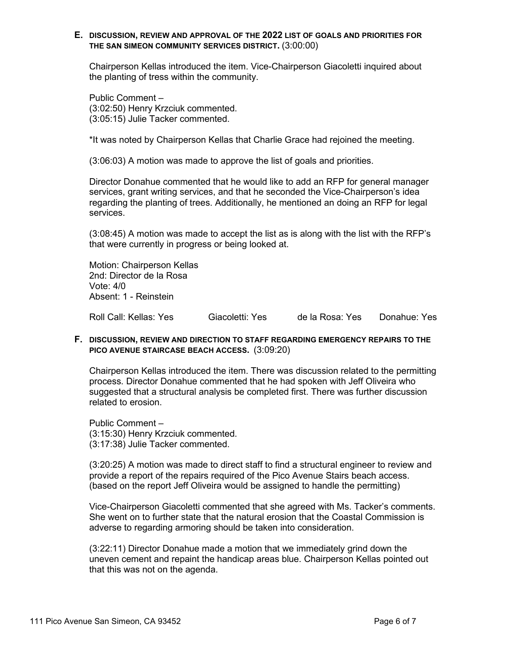#### **E. DISCUSSION, REVIEW AND APPROVAL OF THE 2022 LIST OF GOALS AND PRIORITIES FOR THE SAN SIMEON COMMUNITY SERVICES DISTRICT.** (3:00:00)

Chairperson Kellas introduced the item. Vice-Chairperson Giacoletti inquired about the planting of tress within the community.

Public Comment – (3:02:50) Henry Krzciuk commented. (3:05:15) Julie Tacker commented.

\*It was noted by Chairperson Kellas that Charlie Grace had rejoined the meeting.

(3:06:03) A motion was made to approve the list of goals and priorities.

Director Donahue commented that he would like to add an RFP for general manager services, grant writing services, and that he seconded the Vice-Chairperson's idea regarding the planting of trees. Additionally, he mentioned an doing an RFP for legal services.

(3:08:45) A motion was made to accept the list as is along with the list with the RFP's that were currently in progress or being looked at.

Motion: Chairperson Kellas 2nd: Director de la Rosa Vote: 4/0 Absent: 1 - Reinstein

Roll Call: Kellas: Yes Giacoletti: Yes de la Rosa: Yes Donahue: Yes

#### **F. DISCUSSION, REVIEW AND DIRECTION TO STAFF REGARDING EMERGENCY REPAIRS TO THE PICO AVENUE STAIRCASE BEACH ACCESS.** (3:09:20)

Chairperson Kellas introduced the item. There was discussion related to the permitting process. Director Donahue commented that he had spoken with Jeff Oliveira who suggested that a structural analysis be completed first. There was further discussion related to erosion.

Public Comment – (3:15:30) Henry Krzciuk commented. (3:17:38) Julie Tacker commented.

(3:20:25) A motion was made to direct staff to find a structural engineer to review and provide a report of the repairs required of the Pico Avenue Stairs beach access. (based on the report Jeff Oliveira would be assigned to handle the permitting)

Vice-Chairperson Giacoletti commented that she agreed with Ms. Tacker's comments. She went on to further state that the natural erosion that the Coastal Commission is adverse to regarding armoring should be taken into consideration.

(3:22:11) Director Donahue made a motion that we immediately grind down the uneven cement and repaint the handicap areas blue. Chairperson Kellas pointed out that this was not on the agenda.